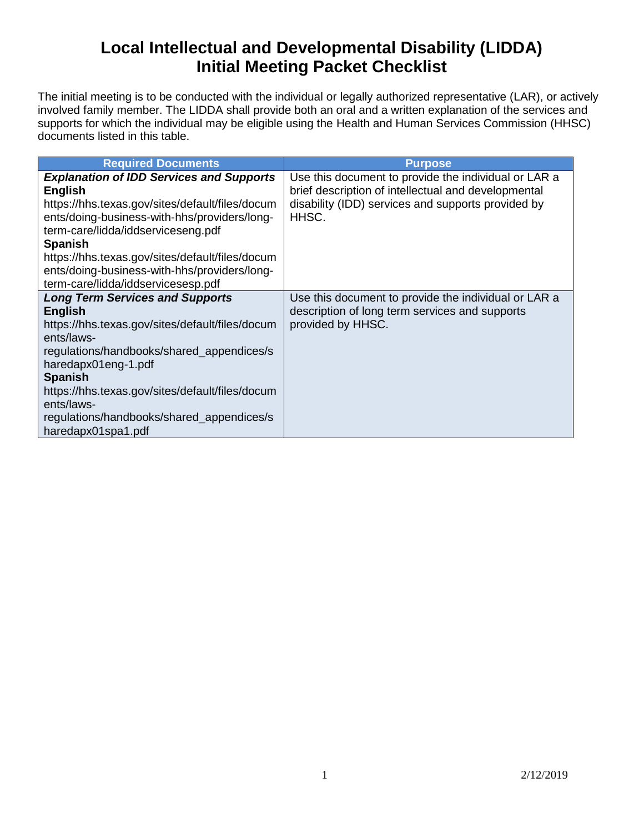## **Local Intellectual and Developmental Disability (LIDDA) Initial Meeting Packet Checklist**

The initial meeting is to be conducted with the individual or legally authorized representative (LAR), or actively involved family member. The LIDDA shall provide both an oral and a written explanation of the services and supports for which the individual may be eligible using the Health and Human Services Commission (HHSC) documents listed in this table.

| <b>Required Documents</b>                                                                                                                                                                                                                                                                                                                                             | <b>Purpose</b>                                                                                                                                                             |
|-----------------------------------------------------------------------------------------------------------------------------------------------------------------------------------------------------------------------------------------------------------------------------------------------------------------------------------------------------------------------|----------------------------------------------------------------------------------------------------------------------------------------------------------------------------|
| <b>Explanation of IDD Services and Supports</b><br><b>English</b><br>https://hhs.texas.gov/sites/default/files/docum<br>ents/doing-business-with-hhs/providers/long-<br>term-care/lidda/iddserviceseng.pdf<br><b>Spanish</b><br>https://hhs.texas.gov/sites/default/files/docum<br>ents/doing-business-with-hhs/providers/long-<br>term-care/lidda/iddservicesesp.pdf | Use this document to provide the individual or LAR a<br>brief description of intellectual and developmental<br>disability (IDD) services and supports provided by<br>HHSC. |
| <b>Long Term Services and Supports</b><br><b>English</b><br>https://hhs.texas.gov/sites/default/files/docum<br>ents/laws-<br>regulations/handbooks/shared_appendices/s<br>haredapx01eng-1.pdf<br><b>Spanish</b><br>https://hhs.texas.gov/sites/default/files/docum<br>ents/laws-<br>regulations/handbooks/shared_appendices/s<br>haredapx01spa1.pdf                   | Use this document to provide the individual or LAR a<br>description of long term services and supports<br>provided by HHSC.                                                |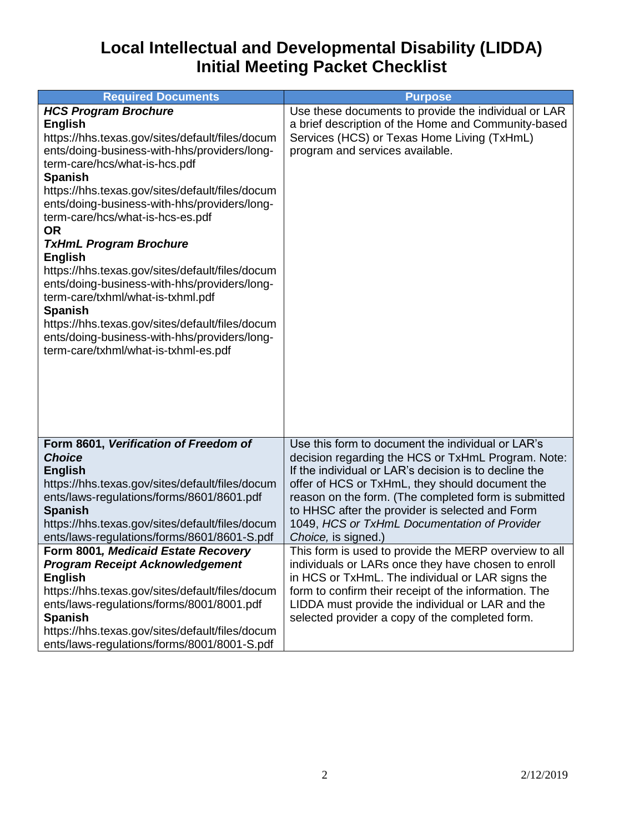## **Local Intellectual and Developmental Disability (LIDDA) Initial Meeting Packet Checklist**

| <b>Required Documents</b>                                                                                                                                                                                                                                                                                                                                                                                                                                                                                                                                                                                                                                                                                       | <b>Purpose</b>                                                                                                                                                                                                                                                                                                                                                                                                                                                                                                                                                                                                                                                                                                                            |
|-----------------------------------------------------------------------------------------------------------------------------------------------------------------------------------------------------------------------------------------------------------------------------------------------------------------------------------------------------------------------------------------------------------------------------------------------------------------------------------------------------------------------------------------------------------------------------------------------------------------------------------------------------------------------------------------------------------------|-------------------------------------------------------------------------------------------------------------------------------------------------------------------------------------------------------------------------------------------------------------------------------------------------------------------------------------------------------------------------------------------------------------------------------------------------------------------------------------------------------------------------------------------------------------------------------------------------------------------------------------------------------------------------------------------------------------------------------------------|
| <b>HCS Program Brochure</b><br><b>English</b><br>https://hhs.texas.gov/sites/default/files/docum<br>ents/doing-business-with-hhs/providers/long-<br>term-care/hcs/what-is-hcs.pdf<br><b>Spanish</b><br>https://hhs.texas.gov/sites/default/files/docum<br>ents/doing-business-with-hhs/providers/long-<br>term-care/hcs/what-is-hcs-es.pdf<br><b>OR</b><br><b>TxHmL Program Brochure</b><br><b>English</b><br>https://hhs.texas.gov/sites/default/files/docum<br>ents/doing-business-with-hhs/providers/long-<br>term-care/txhml/what-is-txhml.pdf<br><b>Spanish</b><br>https://hhs.texas.gov/sites/default/files/docum<br>ents/doing-business-with-hhs/providers/long-<br>term-care/txhml/what-is-txhml-es.pdf | Use these documents to provide the individual or LAR<br>a brief description of the Home and Community-based<br>Services (HCS) or Texas Home Living (TxHmL)<br>program and services available.                                                                                                                                                                                                                                                                                                                                                                                                                                                                                                                                             |
| Form 8601, Verification of Freedom of<br><b>Choice</b><br><b>English</b><br>https://hhs.texas.gov/sites/default/files/docum<br>ents/laws-regulations/forms/8601/8601.pdf<br><b>Spanish</b><br>https://hhs.texas.gov/sites/default/files/docum<br>ents/laws-regulations/forms/8601/8601-S.pdf<br>Form 8001, Medicaid Estate Recovery<br><b>Program Receipt Acknowledgement</b><br><b>English</b><br>https://hhs.texas.gov/sites/default/files/docum<br>ents/laws-regulations/forms/8001/8001.pdf<br><b>Spanish</b><br>https://hhs.texas.gov/sites/default/files/docum<br>ents/laws-regulations/forms/8001/8001-S.pdf                                                                                             | Use this form to document the individual or LAR's<br>decision regarding the HCS or TxHmL Program. Note:<br>If the individual or LAR's decision is to decline the<br>offer of HCS or TxHmL, they should document the<br>reason on the form. (The completed form is submitted<br>to HHSC after the provider is selected and Form<br>1049, HCS or TxHmL Documentation of Provider<br>Choice, is signed.)<br>This form is used to provide the MERP overview to all<br>individuals or LARs once they have chosen to enroll<br>in HCS or TxHmL. The individual or LAR signs the<br>form to confirm their receipt of the information. The<br>LIDDA must provide the individual or LAR and the<br>selected provider a copy of the completed form. |